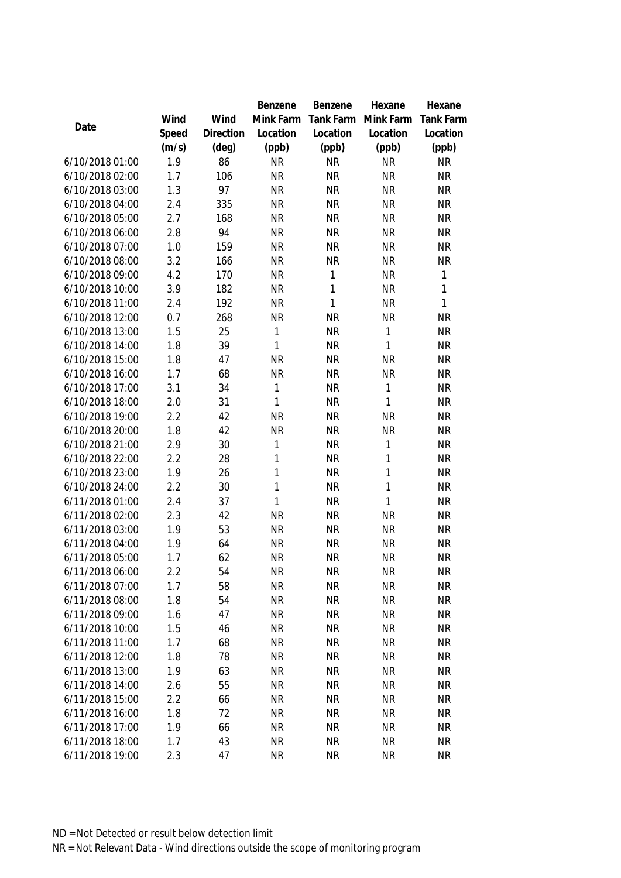|                 |       |                | Benzene   | Benzene      | Hexane       | Hexane           |
|-----------------|-------|----------------|-----------|--------------|--------------|------------------|
|                 | Wind  | Wind           | Mink Farm | Tank Farm    | Mink Farm    | <b>Tank Farm</b> |
| Date            | Speed | Direction      | Location  | Location     | Location     | Location         |
|                 | (m/s) | $(\text{deg})$ | (ppb)     | (ppb)        | (ppb)        | (ppb)            |
| 6/10/2018 01:00 | 1.9   | 86             | <b>NR</b> | <b>NR</b>    | <b>NR</b>    | <b>NR</b>        |
| 6/10/2018 02:00 | 1.7   | 106            | <b>NR</b> | <b>NR</b>    | <b>NR</b>    | <b>NR</b>        |
| 6/10/2018 03:00 | 1.3   | 97             | <b>NR</b> | <b>NR</b>    | <b>NR</b>    | <b>NR</b>        |
| 6/10/2018 04:00 | 2.4   | 335            | <b>NR</b> | <b>NR</b>    | <b>NR</b>    | <b>NR</b>        |
| 6/10/2018 05:00 | 2.7   | 168            | <b>NR</b> | <b>NR</b>    | <b>NR</b>    | <b>NR</b>        |
| 6/10/2018 06:00 | 2.8   | 94             | <b>NR</b> | <b>NR</b>    | <b>NR</b>    | <b>NR</b>        |
| 6/10/2018 07:00 | 1.0   | 159            | <b>NR</b> | <b>NR</b>    | <b>NR</b>    | <b>NR</b>        |
| 6/10/2018 08:00 | 3.2   | 166            | <b>NR</b> | <b>NR</b>    | <b>NR</b>    | <b>NR</b>        |
| 6/10/2018 09:00 | 4.2   | 170            | <b>NR</b> | 1            | <b>NR</b>    | 1                |
| 6/10/2018 10:00 | 3.9   | 182            | <b>NR</b> | 1            | <b>NR</b>    | 1                |
| 6/10/2018 11:00 | 2.4   | 192            | <b>NR</b> | $\mathbf{1}$ | <b>NR</b>    | 1                |
| 6/10/2018 12:00 | 0.7   | 268            | <b>NR</b> | <b>NR</b>    | <b>NR</b>    | <b>NR</b>        |
| 6/10/2018 13:00 | 1.5   | 25             | 1         | <b>NR</b>    | $\mathbf{1}$ | <b>NR</b>        |
| 6/10/2018 14:00 | 1.8   | 39             | 1         | <b>NR</b>    | $\mathbf{1}$ | <b>NR</b>        |
| 6/10/2018 15:00 | 1.8   | 47             | <b>NR</b> | <b>NR</b>    | <b>NR</b>    | <b>NR</b>        |
| 6/10/2018 16:00 | 1.7   | 68             | <b>NR</b> | <b>NR</b>    | <b>NR</b>    | <b>NR</b>        |
| 6/10/2018 17:00 | 3.1   | 34             | 1         | <b>NR</b>    | $\mathbf{1}$ | <b>NR</b>        |
| 6/10/2018 18:00 | 2.0   | 31             | 1         | <b>NR</b>    | $\mathbf{1}$ | <b>NR</b>        |
| 6/10/2018 19:00 | 2.2   | 42             | <b>NR</b> | <b>NR</b>    | <b>NR</b>    | <b>NR</b>        |
| 6/10/2018 20:00 | 1.8   | 42             | <b>NR</b> | <b>NR</b>    | <b>NR</b>    | <b>NR</b>        |
| 6/10/2018 21:00 | 2.9   | 30             | 1         | <b>NR</b>    | $\mathbf{1}$ | <b>NR</b>        |
| 6/10/2018 22:00 | 2.2   | 28             | 1         | <b>NR</b>    | 1            | <b>NR</b>        |
| 6/10/2018 23:00 | 1.9   | 26             | 1         | <b>NR</b>    | 1            | <b>NR</b>        |
| 6/10/2018 24:00 | 2.2   | 30             | 1         | <b>NR</b>    | $\mathbf{1}$ | <b>NR</b>        |
| 6/11/2018 01:00 | 2.4   | 37             | 1         | <b>NR</b>    | 1            | <b>NR</b>        |
| 6/11/2018 02:00 | 2.3   | 42             | <b>NR</b> | <b>NR</b>    | <b>NR</b>    | <b>NR</b>        |
| 6/11/2018 03:00 | 1.9   | 53             | <b>NR</b> | <b>NR</b>    | <b>NR</b>    | <b>NR</b>        |
| 6/11/2018 04:00 | 1.9   | 64             | <b>NR</b> | <b>NR</b>    | <b>NR</b>    | <b>NR</b>        |
| 6/11/2018 05:00 | 1.7   | 62             | <b>NR</b> | <b>NR</b>    | <b>NR</b>    | <b>NR</b>        |
| 6/11/2018 06:00 | 2.2   | 54             | <b>NR</b> | <b>NR</b>    | <b>NR</b>    | <b>NR</b>        |
| 6/11/2018 07:00 | 1.7   | 58             | <b>NR</b> | <b>NR</b>    | <b>NR</b>    | <b>NR</b>        |
| 6/11/2018 08:00 | 1.8   | 54             | <b>NR</b> | <b>NR</b>    | <b>NR</b>    | <b>NR</b>        |
| 6/11/2018 09:00 | 1.6   | 47             | <b>NR</b> | <b>NR</b>    | <b>NR</b>    | <b>NR</b>        |
| 6/11/2018 10:00 | 1.5   | 46             | <b>NR</b> | <b>NR</b>    | <b>NR</b>    | <b>NR</b>        |
| 6/11/2018 11:00 | 1.7   | 68             | <b>NR</b> | <b>NR</b>    | <b>NR</b>    | <b>NR</b>        |
| 6/11/2018 12:00 | 1.8   | 78             | <b>NR</b> | <b>NR</b>    | <b>NR</b>    | <b>NR</b>        |
| 6/11/2018 13:00 | 1.9   | 63             | <b>NR</b> | <b>NR</b>    | <b>NR</b>    | <b>NR</b>        |
| 6/11/2018 14:00 | 2.6   | 55             | <b>NR</b> | <b>NR</b>    | <b>NR</b>    | <b>NR</b>        |
| 6/11/2018 15:00 | 2.2   | 66             | <b>NR</b> | <b>NR</b>    | <b>NR</b>    | <b>NR</b>        |
| 6/11/2018 16:00 | 1.8   | 72             | <b>NR</b> | <b>NR</b>    | <b>NR</b>    | <b>NR</b>        |
| 6/11/2018 17:00 | 1.9   | 66             | <b>NR</b> | <b>NR</b>    | <b>NR</b>    | <b>NR</b>        |
| 6/11/2018 18:00 | 1.7   | 43             | <b>NR</b> | <b>NR</b>    | <b>NR</b>    | <b>NR</b>        |
| 6/11/2018 19:00 | 2.3   | 47             | <b>NR</b> | <b>NR</b>    | <b>NR</b>    | <b>NR</b>        |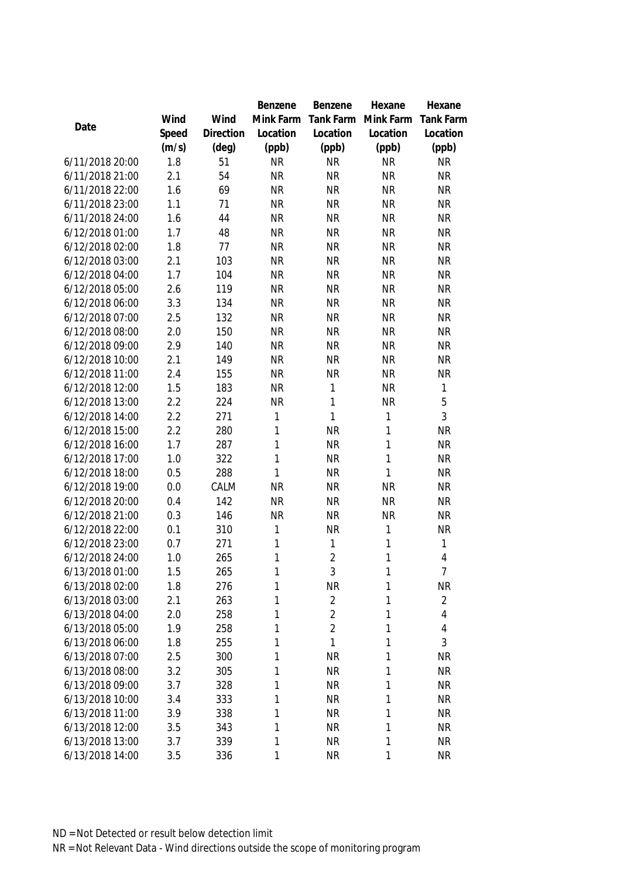|                 |       |           | Benzene   | Benzene        | Hexane       | Hexane           |
|-----------------|-------|-----------|-----------|----------------|--------------|------------------|
|                 | Wind  | Wind      | Mink Farm | Tank Farm      | Mink Farm    | <b>Tank Farm</b> |
| Date            | Speed | Direction | Location  | Location       | Location     | Location         |
|                 | (m/s) | (deg)     | (ppb)     | (ppb)          | (ppb)        | (ppb)            |
| 6/11/2018 20:00 | 1.8   | 51        | <b>NR</b> | <b>NR</b>      | <b>NR</b>    | <b>NR</b>        |
| 6/11/2018 21:00 | 2.1   | 54        | <b>NR</b> | <b>NR</b>      | <b>NR</b>    | <b>NR</b>        |
| 6/11/2018 22:00 | 1.6   | 69        | <b>NR</b> | <b>NR</b>      | <b>NR</b>    | <b>NR</b>        |
| 6/11/2018 23:00 | 1.1   | 71        | <b>NR</b> | <b>NR</b>      | <b>NR</b>    | <b>NR</b>        |
| 6/11/2018 24:00 | 1.6   | 44        | <b>NR</b> | <b>NR</b>      | <b>NR</b>    | <b>NR</b>        |
| 6/12/2018 01:00 | 1.7   | 48        | <b>NR</b> | <b>NR</b>      | <b>NR</b>    | <b>NR</b>        |
| 6/12/2018 02:00 | 1.8   | 77        | <b>NR</b> | <b>NR</b>      | <b>NR</b>    | <b>NR</b>        |
| 6/12/2018 03:00 | 2.1   | 103       | <b>NR</b> | <b>NR</b>      | <b>NR</b>    | <b>NR</b>        |
| 6/12/2018 04:00 | 1.7   | 104       | <b>NR</b> | <b>NR</b>      | <b>NR</b>    | <b>NR</b>        |
| 6/12/2018 05:00 | 2.6   | 119       | <b>NR</b> | <b>NR</b>      | <b>NR</b>    | <b>NR</b>        |
| 6/12/2018 06:00 | 3.3   | 134       | <b>NR</b> | <b>NR</b>      | <b>NR</b>    | <b>NR</b>        |
| 6/12/2018 07:00 | 2.5   | 132       | <b>NR</b> | <b>NR</b>      | <b>NR</b>    | <b>NR</b>        |
| 6/12/2018 08:00 | 2.0   | 150       | <b>NR</b> | <b>NR</b>      | <b>NR</b>    | <b>NR</b>        |
| 6/12/2018 09:00 | 2.9   | 140       | <b>NR</b> | <b>NR</b>      | <b>NR</b>    | <b>NR</b>        |
| 6/12/2018 10:00 | 2.1   | 149       | <b>NR</b> | <b>NR</b>      | <b>NR</b>    | <b>NR</b>        |
| 6/12/2018 11:00 | 2.4   | 155       | <b>NR</b> | <b>NR</b>      | <b>NR</b>    | <b>NR</b>        |
| 6/12/2018 12:00 | 1.5   | 183       | <b>NR</b> | 1              | <b>NR</b>    | 1                |
| 6/12/2018 13:00 | 2.2   | 224       | <b>NR</b> | 1              | <b>NR</b>    | 5                |
| 6/12/2018 14:00 | 2.2   | 271       | 1         | $\mathbf{1}$   | $\mathbf{1}$ | 3                |
| 6/12/2018 15:00 | 2.2   | 280       | 1         | <b>NR</b>      | 1            | <b>NR</b>        |
| 6/12/2018 16:00 | 1.7   | 287       | 1         | <b>NR</b>      | $\mathbf{1}$ | <b>NR</b>        |
| 6/12/2018 17:00 | 1.0   | 322       | 1         | <b>NR</b>      | 1            | <b>NR</b>        |
| 6/12/2018 18:00 | 0.5   | 288       | 1         | <b>NR</b>      | $\mathbf{1}$ | <b>NR</b>        |
| 6/12/2018 19:00 | 0.0   | CALM      | <b>NR</b> | <b>NR</b>      | <b>NR</b>    | <b>NR</b>        |
| 6/12/2018 20:00 | 0.4   | 142       | <b>NR</b> | <b>NR</b>      | <b>NR</b>    | <b>NR</b>        |
| 6/12/2018 21:00 | 0.3   | 146       | <b>NR</b> | <b>NR</b>      | <b>NR</b>    | <b>NR</b>        |
| 6/12/2018 22:00 | 0.1   | 310       | 1         | <b>NR</b>      | 1            | <b>NR</b>        |
| 6/12/2018 23:00 | 0.7   | 271       | 1         | 1              | 1            | 1                |
| 6/12/2018 24:00 | 1.0   | 265       | 1         | $\overline{2}$ | 1            | $\overline{4}$   |
| 6/13/2018 01:00 | 1.5   | 265       | 1         | 3              | $\mathbf{1}$ | $\overline{7}$   |
| 6/13/2018 02:00 | 1.8   | 276       | 1         | <b>NR</b>      | 1            | <b>NR</b>        |
| 6/13/2018 03:00 | 2.1   | 263       | 1         | $\overline{2}$ | 1            | $\overline{2}$   |
| 6/13/2018 04:00 | 2.0   | 258       | 1         | $\overline{2}$ | 1            | 4                |
| 6/13/2018 05:00 | 1.9   | 258       | 1         | $\overline{2}$ | 1            | 4                |
| 6/13/2018 06:00 | 1.8   | 255       | 1         | 1              | 1            | 3                |
| 6/13/2018 07:00 | 2.5   | 300       | 1         | <b>NR</b>      | $\mathbf{1}$ | <b>NR</b>        |
| 6/13/2018 08:00 | 3.2   | 305       | 1         | <b>NR</b>      | 1            | <b>NR</b>        |
| 6/13/2018 09:00 | 3.7   | 328       | 1         | <b>NR</b>      | 1            | <b>NR</b>        |
| 6/13/2018 10:00 | 3.4   | 333       | 1         | <b>NR</b>      | 1            | <b>NR</b>        |
| 6/13/2018 11:00 | 3.9   | 338       | 1         | <b>NR</b>      | 1            | <b>NR</b>        |
| 6/13/2018 12:00 | 3.5   | 343       | 1         | <b>NR</b>      | 1            | <b>NR</b>        |
| 6/13/2018 13:00 | 3.7   | 339       | 1         | <b>NR</b>      | 1            | <b>NR</b>        |
| 6/13/2018 14:00 | 3.5   | 336       | 1         | <b>NR</b>      | 1            | <b>NR</b>        |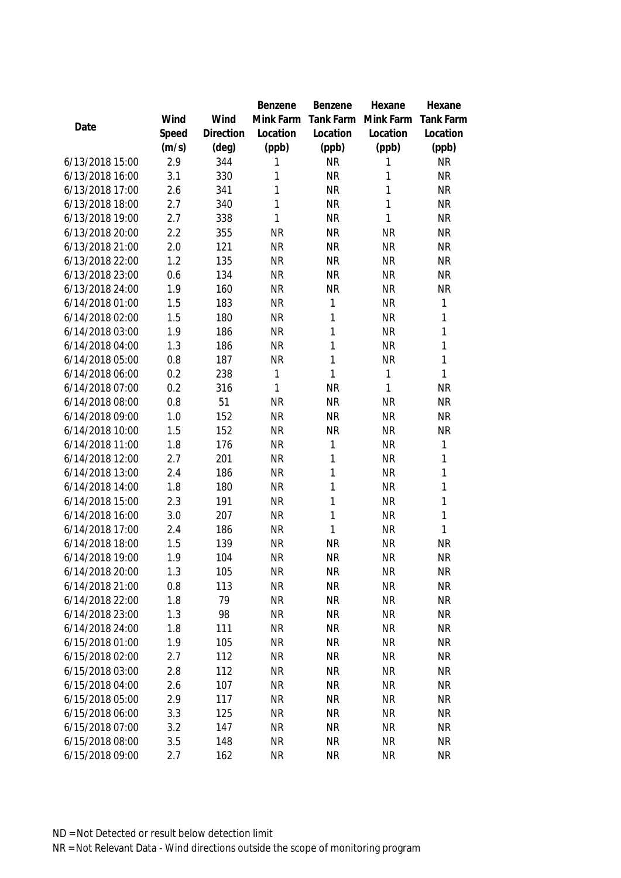|                 |       |           | Benzene   | Benzene      | Hexane    | Hexane           |
|-----------------|-------|-----------|-----------|--------------|-----------|------------------|
|                 | Wind  | Wind      | Mink Farm | Tank Farm    | Mink Farm | <b>Tank Farm</b> |
| Date            | Speed | Direction | Location  | Location     | Location  | Location         |
|                 | (m/s) | (deg)     | (ppb)     | (ppb)        | (ppb)     | (ppb)            |
| 6/13/2018 15:00 | 2.9   | 344       | 1         | <b>NR</b>    | 1         | <b>NR</b>        |
| 6/13/2018 16:00 | 3.1   | 330       | 1         | <b>NR</b>    | 1         | <b>NR</b>        |
| 6/13/2018 17:00 | 2.6   | 341       | 1         | <b>NR</b>    | 1         | <b>NR</b>        |
| 6/13/2018 18:00 | 2.7   | 340       | 1         | <b>NR</b>    | 1         | <b>NR</b>        |
| 6/13/2018 19:00 | 2.7   | 338       | 1         | <b>NR</b>    | 1         | <b>NR</b>        |
| 6/13/2018 20:00 | 2.2   | 355       | <b>NR</b> | <b>NR</b>    | <b>NR</b> | <b>NR</b>        |
| 6/13/2018 21:00 | 2.0   | 121       | <b>NR</b> | <b>NR</b>    | <b>NR</b> | <b>NR</b>        |
| 6/13/2018 22:00 | 1.2   | 135       | <b>NR</b> | <b>NR</b>    | <b>NR</b> | <b>NR</b>        |
| 6/13/2018 23:00 | 0.6   | 134       | <b>NR</b> | <b>NR</b>    | <b>NR</b> | <b>NR</b>        |
| 6/13/2018 24:00 | 1.9   | 160       | <b>NR</b> | <b>NR</b>    | <b>NR</b> | <b>NR</b>        |
| 6/14/2018 01:00 | 1.5   | 183       | <b>NR</b> | 1            | <b>NR</b> | 1                |
| 6/14/2018 02:00 | 1.5   | 180       | <b>NR</b> | 1            | <b>NR</b> | 1                |
| 6/14/2018 03:00 | 1.9   | 186       | <b>NR</b> | 1            | <b>NR</b> | 1                |
| 6/14/2018 04:00 | 1.3   | 186       | <b>NR</b> | 1            | <b>NR</b> | 1                |
| 6/14/2018 05:00 | 0.8   | 187       | <b>NR</b> | 1            | <b>NR</b> | 1                |
| 6/14/2018 06:00 | 0.2   | 238       | 1         | 1            | 1         | 1                |
| 6/14/2018 07:00 | 0.2   | 316       | 1         | <b>NR</b>    | 1         | <b>NR</b>        |
| 6/14/2018 08:00 | 0.8   | 51        | <b>NR</b> | <b>NR</b>    | <b>NR</b> | <b>NR</b>        |
| 6/14/2018 09:00 | 1.0   | 152       | <b>NR</b> | <b>NR</b>    | <b>NR</b> | <b>NR</b>        |
| 6/14/2018 10:00 | 1.5   | 152       | <b>NR</b> | <b>NR</b>    | <b>NR</b> | <b>NR</b>        |
| 6/14/2018 11:00 | 1.8   | 176       | <b>NR</b> | 1            | <b>NR</b> | 1                |
| 6/14/2018 12:00 | 2.7   | 201       | <b>NR</b> | 1            | <b>NR</b> | 1                |
| 6/14/2018 13:00 | 2.4   | 186       | <b>NR</b> | 1            | <b>NR</b> | 1                |
| 6/14/2018 14:00 | 1.8   | 180       | <b>NR</b> | 1            | <b>NR</b> | 1                |
| 6/14/2018 15:00 | 2.3   | 191       | <b>NR</b> | 1            | <b>NR</b> | 1                |
| 6/14/2018 16:00 | 3.0   | 207       | <b>NR</b> | $\mathbf{1}$ | <b>NR</b> | 1                |
| 6/14/2018 17:00 | 2.4   | 186       | <b>NR</b> | 1            | <b>NR</b> | 1                |
| 6/14/2018 18:00 | 1.5   | 139       | <b>NR</b> | <b>NR</b>    | <b>NR</b> | <b>NR</b>        |
| 6/14/2018 19:00 | 1.9   | 104       | <b>NR</b> | <b>NR</b>    | <b>NR</b> | <b>NR</b>        |
| 6/14/2018 20:00 | 1.3   | 105       | <b>NR</b> | <b>NR</b>    | <b>NR</b> | <b>NR</b>        |
| 6/14/2018 21:00 | 0.8   | 113       | <b>NR</b> | <b>NR</b>    | <b>NR</b> | <b>NR</b>        |
| 6/14/2018 22:00 | 1.8   | 79        | <b>NR</b> | <b>NR</b>    | <b>NR</b> | <b>NR</b>        |
| 6/14/2018 23:00 | 1.3   | 98        | <b>NR</b> | <b>NR</b>    | <b>NR</b> | <b>NR</b>        |
| 6/14/2018 24:00 | 1.8   | 111       | NR        | <b>NR</b>    | <b>NR</b> | <b>NR</b>        |
| 6/15/2018 01:00 | 1.9   | 105       | <b>NR</b> | <b>NR</b>    | <b>NR</b> | <b>NR</b>        |
| 6/15/2018 02:00 | 2.7   | 112       | <b>NR</b> | <b>NR</b>    | <b>NR</b> | <b>NR</b>        |
| 6/15/2018 03:00 | 2.8   | 112       | <b>NR</b> | <b>NR</b>    | <b>NR</b> | <b>NR</b>        |
| 6/15/2018 04:00 | 2.6   | 107       | <b>NR</b> | <b>NR</b>    | <b>NR</b> | <b>NR</b>        |
| 6/15/2018 05:00 | 2.9   | 117       | <b>NR</b> | <b>NR</b>    | <b>NR</b> | <b>NR</b>        |
| 6/15/2018 06:00 | 3.3   | 125       | <b>NR</b> | <b>NR</b>    | <b>NR</b> | <b>NR</b>        |
| 6/15/2018 07:00 | 3.2   | 147       | <b>NR</b> | <b>NR</b>    | <b>NR</b> | <b>NR</b>        |
| 6/15/2018 08:00 | 3.5   | 148       | <b>NR</b> | <b>NR</b>    | <b>NR</b> | <b>NR</b>        |
| 6/15/2018 09:00 | 2.7   | 162       | <b>NR</b> | <b>NR</b>    | <b>NR</b> | <b>NR</b>        |